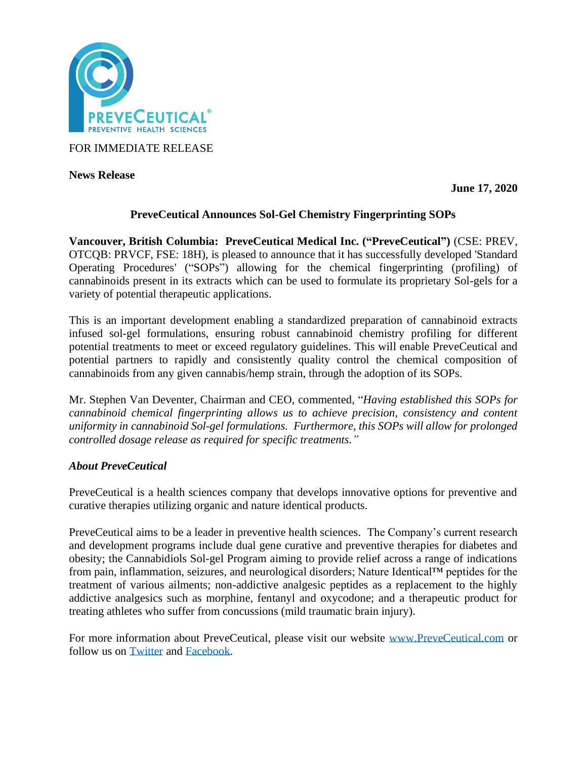

FOR IMMEDIATE RELEASE

**News Release** 

**June 17, 2020**

# **PreveCeutical Announces Sol-Gel Chemistry Fingerprinting SOPs**

**Vancouver, British Columbia: PreveCeutical Medical Inc. ("PreveCeutical")** (CSE: PREV, OTCQB: PRVCF, FSE: 18H), is pleased to announce that it has successfully developed 'Standard Operating Procedures' ("SOPs") allowing for the chemical fingerprinting (profiling) of cannabinoids present in its extracts which can be used to formulate its proprietary Sol-gels for a variety of potential therapeutic applications.

This is an important development enabling a standardized preparation of cannabinoid extracts infused sol-gel formulations, ensuring robust cannabinoid chemistry profiling for different potential treatments to meet or exceed regulatory guidelines. This will enable PreveCeutical and potential partners to rapidly and consistently quality control the chemical composition of cannabinoids from any given cannabis/hemp strain, through the adoption of its SOPs.

Mr. Stephen Van Deventer, Chairman and CEO, commented, "*Having established this SOPs for cannabinoid chemical fingerprinting allows us to achieve precision, consistency and content uniformity in cannabinoid Sol-gel formulations. Furthermore, this SOPs will allow for prolonged controlled dosage release as required for specific treatments."*

## *About PreveCeutical*

PreveCeutical is a health sciences company that develops innovative options for preventive and curative therapies utilizing organic and nature identical products.

PreveCeutical aims to be a leader in preventive health sciences. The Company's current research and development programs include dual gene curative and preventive therapies for diabetes and obesity; the Cannabidiols Sol-gel Program aiming to provide relief across a range of indications from pain, inflammation, seizures, and neurological disorders; Nature Identical™ peptides for the treatment of various ailments; non-addictive analgesic peptides as a replacement to the highly addictive analgesics such as morphine, fentanyl and oxycodone; and a therapeutic product for treating athletes who suffer from concussions (mild traumatic brain injury).

For more information about PreveCeutical, please visit our website [www.PreveCeutical.com](http://www.preveceutical.com/) or follow us on [Twitter](http://twitter.com/PreveCeuticals) and [Facebook.](http://www.facebook.com/PreveCeutical)